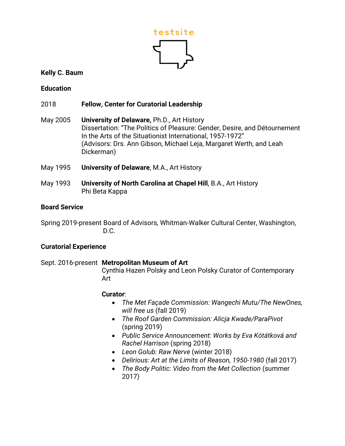

## **Kelly C. Baum**

## **Education**

# 2018 **Fellow, Center for Curatorial Leadership**

- May 2005 **University of Delaware,** Ph.D., Art History Dissertation: "The Politics of Pleasure: Gender, Desire, and Détournement In the Arts of the Situationist International, 1957-1972" (Advisors: Drs. Ann Gibson, Michael Leja, Margaret Werth, and Leah Dickerman)
- May 1995 **University of Delaware**, M.A., Art History
- May 1993 **University of North Carolina at Chapel Hill**, B.A., Art History Phi Beta Kappa

### **Board Service**

Spring 2019-present Board of Advisors, Whitman-Walker Cultural Center, Washington, D.C.

### **Curatorial Experience**

### Sept. 2016-present **Metropolitan Museum of Art**

Cynthia Hazen Polsky and Leon Polsky Curator of Contemporary Art

# **Curator**:

- *The Met Façade Commission: Wangechi Mutu/The NewOnes, will free us* (fall 2019)
- *The Roof Garden Commission: Alicja Kwade/ParaPivot* (spring 2019)
- *Public Service Announcement: Works by Eva Kótátková and Rachel Harrison* (spring 2018)
- *Leon Golub: Raw Nerve* (winter 2018)
- *Delirious: Art at the Limits of Reason, 1950-1980* (fall 2017)
- *The Body Politic: Video from the Met Collection* (summer 2017)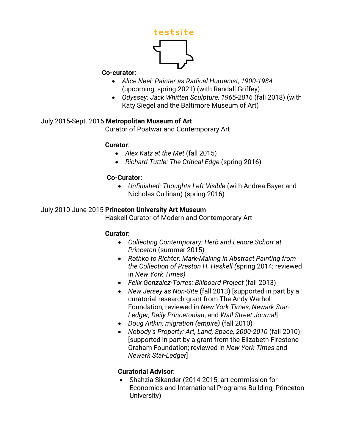

#### **Co-curator**:

- *Alice Neel: Painter as Radical Humanist, 1900-1984*  (upcoming, spring 2021) (with Randall Griffey)
- *Odyssey: Jack Whitten Sculpture, 1965-2016* (fall 2018) (with Katy Siegel and the Baltimore Museum of Art)

# July 2015-Sept. 2016 **Metropolitan Museum of Art**

Curator of Postwar and Contemporary Art

### **Curator**:

- *Alex Katz at the Met* (fall 2015)
- *Richard Tuttle: The Critical Edge* (spring 2016)

### **Co-Curator**:

• *Unfinished: Thoughts Left Visible* (with Andrea Bayer and Nicholas Cullinan) (spring 2016)

### July 2010-June 2015 **Princeton University Art Museum**

Haskell Curator of Modern and Contemporary Art

### **Curator**:

- *Collecting Contemporary: Herb and Lenore Schorr at Princeton* (summer 2015)
- *Rothko to Richter: Mark-Making in Abstract Painting from the Collection of Preston H. Haskell (*spring 2014; reviewed in *New York Times)*
- *Felix Gonzalez-Torres: Billboard Project* (fall 2013)
- *New Jersey as Non-Site* (fall 2013) [supported in part by a curatorial research grant from The Andy Warhol Foundation; reviewed in *New York Times, Newark Star-Ledger, Daily Princetonian*, and *Wall Street Journal*]
- *Doug Aitkin: migration (empire)* (fall 2010)
- *Nobody's Property: Art, Land, Space, 2000-2010* (fall 2010) [supported in part by a grant from the Elizabeth Firestone Graham Foundation; reviewed in *New York Times* and *Newark Star-Ledger*]

### **Curatorial Advisor**:

• Shahzia Sikander (2014-2015; art commission for Economics and International Programs Building, Princeton University)